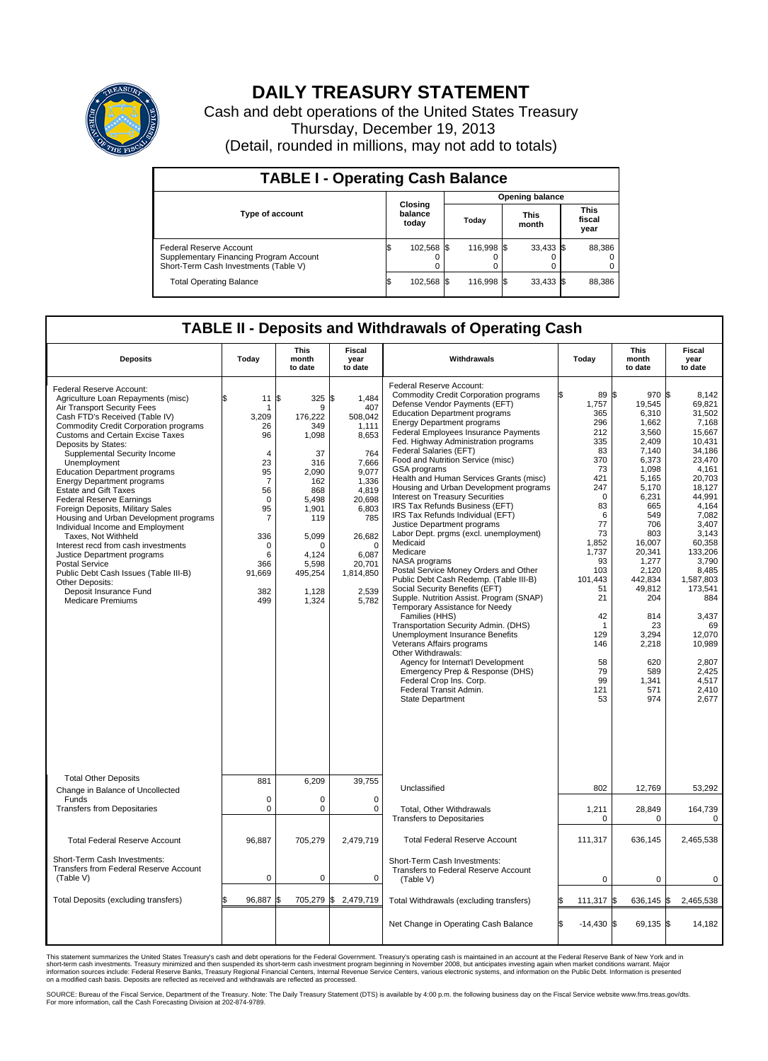

## **DAILY TREASURY STATEMENT**

Cash and debt operations of the United States Treasury Thursday, December 19, 2013 (Detail, rounded in millions, may not add to totals)

| <b>TABLE I - Operating Cash Balance</b>                                                                     |    |                             |  |                        |  |                      |  |                               |  |  |
|-------------------------------------------------------------------------------------------------------------|----|-----------------------------|--|------------------------|--|----------------------|--|-------------------------------|--|--|
|                                                                                                             |    |                             |  | <b>Opening balance</b> |  |                      |  |                               |  |  |
| <b>Type of account</b>                                                                                      |    | Closing<br>balance<br>today |  | Today                  |  | <b>This</b><br>month |  | <b>This</b><br>fiscal<br>year |  |  |
| Federal Reserve Account<br>Supplementary Financing Program Account<br>Short-Term Cash Investments (Table V) |    | 102,568 \$                  |  | 116.998 \$             |  | $33,433$ \$          |  | 88,386                        |  |  |
| <b>Total Operating Balance</b>                                                                              | IЭ | 102,568 \$                  |  | 116.998 \$             |  | $33,433$ \$          |  | 88,386                        |  |  |

## **TABLE II - Deposits and Withdrawals of Operating Cash**

| <b>Deposits</b>                                                                                                                                                                                                                                                                                                                                                                                                                                                                                                                                                                                                                                                                                                                                                                                             | Today                                                                                                                                                                                     | <b>This</b><br>month<br>to date                                                                                                                                            | <b>Fiscal</b><br>year<br>to date                                                                                                                                                             | Withdrawals                                                                                                                                                                                                                                                                                                                                                                                                                                                                                                                                                                                                                                                                                                                                                                                                                                                                                                                                                                                                                                                                                                                                                                             | Today                                                                                                                                                                                                                        | <b>This</b><br>month<br>to date                                                                                                                                                                                                                                                | Fiscal<br>year<br>to date                                                                                                                                                                                                                                                                                   |
|-------------------------------------------------------------------------------------------------------------------------------------------------------------------------------------------------------------------------------------------------------------------------------------------------------------------------------------------------------------------------------------------------------------------------------------------------------------------------------------------------------------------------------------------------------------------------------------------------------------------------------------------------------------------------------------------------------------------------------------------------------------------------------------------------------------|-------------------------------------------------------------------------------------------------------------------------------------------------------------------------------------------|----------------------------------------------------------------------------------------------------------------------------------------------------------------------------|----------------------------------------------------------------------------------------------------------------------------------------------------------------------------------------------|-----------------------------------------------------------------------------------------------------------------------------------------------------------------------------------------------------------------------------------------------------------------------------------------------------------------------------------------------------------------------------------------------------------------------------------------------------------------------------------------------------------------------------------------------------------------------------------------------------------------------------------------------------------------------------------------------------------------------------------------------------------------------------------------------------------------------------------------------------------------------------------------------------------------------------------------------------------------------------------------------------------------------------------------------------------------------------------------------------------------------------------------------------------------------------------------|------------------------------------------------------------------------------------------------------------------------------------------------------------------------------------------------------------------------------|--------------------------------------------------------------------------------------------------------------------------------------------------------------------------------------------------------------------------------------------------------------------------------|-------------------------------------------------------------------------------------------------------------------------------------------------------------------------------------------------------------------------------------------------------------------------------------------------------------|
| Federal Reserve Account:<br>Agriculture Loan Repayments (misc)<br>Air Transport Security Fees<br>Cash FTD's Received (Table IV)<br><b>Commodity Credit Corporation programs</b><br><b>Customs and Certain Excise Taxes</b><br>Deposits by States:<br>Supplemental Security Income<br>Unemployment<br><b>Education Department programs</b><br><b>Energy Department programs</b><br><b>Estate and Gift Taxes</b><br><b>Federal Reserve Earnings</b><br>Foreign Deposits, Military Sales<br>Housing and Urban Development programs<br>Individual Income and Employment<br>Taxes, Not Withheld<br>Interest recd from cash investments<br>Justice Department programs<br><b>Postal Service</b><br>Public Debt Cash Issues (Table III-B)<br>Other Deposits:<br>Deposit Insurance Fund<br><b>Medicare Premiums</b> | \$<br>11<br>1<br>3,209<br>26<br>96<br>$\overline{4}$<br>23<br>95<br>$\overline{7}$<br>56<br>$\mathbf 0$<br>95<br>$\overline{7}$<br>336<br>$\mathbf 0$<br>6<br>366<br>91,669<br>382<br>499 | \$<br>325<br>9<br>176,222<br>349<br>1,098<br>37<br>316<br>2,090<br>162<br>868<br>5,498<br>1,901<br>119<br>5,099<br>$\Omega$<br>4,124<br>5,598<br>495,254<br>1,128<br>1,324 | \$<br>1,484<br>407<br>508,042<br>1.111<br>8,653<br>764<br>7,666<br>9,077<br>1,336<br>4,819<br>20,698<br>6,803<br>785<br>26,682<br>$\Omega$<br>6,087<br>20,701<br>1,814,850<br>2,539<br>5,782 | Federal Reserve Account:<br><b>Commodity Credit Corporation programs</b><br>Defense Vendor Payments (EFT)<br><b>Education Department programs</b><br><b>Energy Department programs</b><br><b>Federal Employees Insurance Payments</b><br>Fed. Highway Administration programs<br>Federal Salaries (EFT)<br>Food and Nutrition Service (misc)<br>GSA programs<br>Health and Human Services Grants (misc)<br>Housing and Urban Development programs<br>Interest on Treasury Securities<br>IRS Tax Refunds Business (EFT)<br>IRS Tax Refunds Individual (EFT)<br>Justice Department programs<br>Labor Dept. prgms (excl. unemployment)<br>Medicaid<br>Medicare<br>NASA programs<br>Postal Service Money Orders and Other<br>Public Debt Cash Redemp. (Table III-B)<br>Social Security Benefits (EFT)<br>Supple. Nutrition Assist. Program (SNAP)<br>Temporary Assistance for Needy<br>Families (HHS)<br>Transportation Security Admin. (DHS)<br>Unemployment Insurance Benefits<br>Veterans Affairs programs<br>Other Withdrawals:<br>Agency for Internat'l Development<br>Emergency Prep & Response (DHS)<br>Federal Crop Ins. Corp.<br>Federal Transit Admin.<br><b>State Department</b> | 89 \$<br>1,757<br>365<br>296<br>212<br>335<br>83<br>370<br>73<br>421<br>247<br>$\Omega$<br>83<br>6<br>77<br>73<br>1,852<br>1,737<br>93<br>103<br>101.443<br>51<br>21<br>42<br>1<br>129<br>146<br>58<br>79<br>99<br>121<br>53 | $970$ \$<br>19,545<br>6,310<br>1,662<br>3.560<br>2,409<br>7,140<br>6,373<br>1.098<br>5,165<br>5,170<br>6,231<br>665<br>549<br>706<br>803<br>16,007<br>20,341<br>1.277<br>2,120<br>442.834<br>49,812<br>204<br>814<br>23<br>3,294<br>2,218<br>620<br>589<br>1,341<br>571<br>974 | 8.142<br>69.821<br>31,502<br>7,168<br>15.667<br>10,431<br>34.186<br>23,470<br>4.161<br>20,703<br>18,127<br>44.991<br>4,164<br>7,082<br>3,407<br>3.143<br>60,358<br>133,206<br>3.790<br>8,485<br>1.587.803<br>173,541<br>884<br>3,437<br>69<br>12,070<br>10,989<br>2,807<br>2,425<br>4.517<br>2.410<br>2,677 |
| <b>Total Other Deposits</b><br>Change in Balance of Uncollected                                                                                                                                                                                                                                                                                                                                                                                                                                                                                                                                                                                                                                                                                                                                             | 881                                                                                                                                                                                       | 6,209                                                                                                                                                                      | 39,755                                                                                                                                                                                       | Unclassified                                                                                                                                                                                                                                                                                                                                                                                                                                                                                                                                                                                                                                                                                                                                                                                                                                                                                                                                                                                                                                                                                                                                                                            | 802                                                                                                                                                                                                                          | 12,769                                                                                                                                                                                                                                                                         | 53,292                                                                                                                                                                                                                                                                                                      |
| Funds<br><b>Transfers from Depositaries</b>                                                                                                                                                                                                                                                                                                                                                                                                                                                                                                                                                                                                                                                                                                                                                                 | $\mathbf 0$<br>$\mathbf 0$                                                                                                                                                                | 0<br>0                                                                                                                                                                     | 0<br>$\mathbf 0$                                                                                                                                                                             | <b>Total, Other Withdrawals</b><br><b>Transfers to Depositaries</b>                                                                                                                                                                                                                                                                                                                                                                                                                                                                                                                                                                                                                                                                                                                                                                                                                                                                                                                                                                                                                                                                                                                     | 1,211<br>$\Omega$                                                                                                                                                                                                            | 28,849<br>$\Omega$                                                                                                                                                                                                                                                             | 164,739<br>$\Omega$                                                                                                                                                                                                                                                                                         |
| <b>Total Federal Reserve Account</b>                                                                                                                                                                                                                                                                                                                                                                                                                                                                                                                                                                                                                                                                                                                                                                        | 96.887                                                                                                                                                                                    | 705,279                                                                                                                                                                    | 2.479.719                                                                                                                                                                                    | <b>Total Federal Reserve Account</b>                                                                                                                                                                                                                                                                                                                                                                                                                                                                                                                                                                                                                                                                                                                                                                                                                                                                                                                                                                                                                                                                                                                                                    | 111,317                                                                                                                                                                                                                      | 636,145                                                                                                                                                                                                                                                                        | 2,465,538                                                                                                                                                                                                                                                                                                   |
| Short-Term Cash Investments:<br><b>Transfers from Federal Reserve Account</b><br>(Table V)                                                                                                                                                                                                                                                                                                                                                                                                                                                                                                                                                                                                                                                                                                                  | $\mathbf 0$                                                                                                                                                                               | 0                                                                                                                                                                          | 0                                                                                                                                                                                            | Short-Term Cash Investments:<br>Transfers to Federal Reserve Account<br>(Table V)                                                                                                                                                                                                                                                                                                                                                                                                                                                                                                                                                                                                                                                                                                                                                                                                                                                                                                                                                                                                                                                                                                       | $\mathbf 0$                                                                                                                                                                                                                  | 0                                                                                                                                                                                                                                                                              | 0                                                                                                                                                                                                                                                                                                           |
| Total Deposits (excluding transfers)                                                                                                                                                                                                                                                                                                                                                                                                                                                                                                                                                                                                                                                                                                                                                                        | 96,887                                                                                                                                                                                    | 705,279                                                                                                                                                                    | \$<br>2,479,719                                                                                                                                                                              | Total Withdrawals (excluding transfers)                                                                                                                                                                                                                                                                                                                                                                                                                                                                                                                                                                                                                                                                                                                                                                                                                                                                                                                                                                                                                                                                                                                                                 | 111,317                                                                                                                                                                                                                      | 636,145 \$<br>I\$                                                                                                                                                                                                                                                              | 2,465,538                                                                                                                                                                                                                                                                                                   |
|                                                                                                                                                                                                                                                                                                                                                                                                                                                                                                                                                                                                                                                                                                                                                                                                             |                                                                                                                                                                                           |                                                                                                                                                                            |                                                                                                                                                                                              | Net Change in Operating Cash Balance                                                                                                                                                                                                                                                                                                                                                                                                                                                                                                                                                                                                                                                                                                                                                                                                                                                                                                                                                                                                                                                                                                                                                    | l\$<br>$-14,430$ \$                                                                                                                                                                                                          | 69,135 \$                                                                                                                                                                                                                                                                      | 14,182                                                                                                                                                                                                                                                                                                      |

This statement summarizes the United States Treasury's cash and debt operations for the Federal Government. Treasury's operating cash is maintained in an account at the Federal Reserve Bank of New York and in<br>short-term ca

SOURCE: Bureau of the Fiscal Service, Department of the Treasury. Note: The Daily Treasury Statement (DTS) is available by 4:00 p.m. the following business day on the Fiscal Service website www.fms.treas.gov/dts.<br>For more